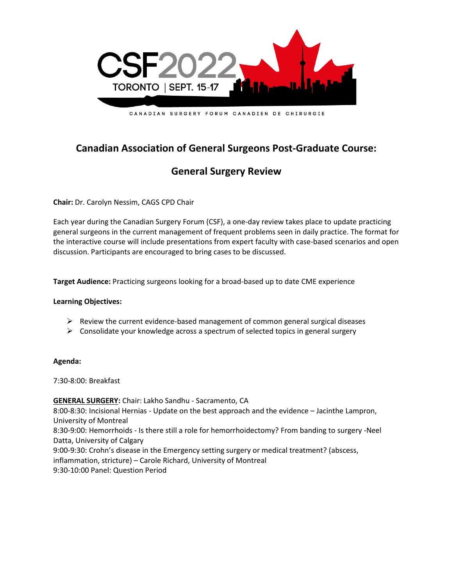

CANADIAN SURGERY FORUM CANADIEN DE CHIRURGIE

# **Canadian Association of General Surgeons Post-Graduate Course:**

# **General Surgery Review**

**Chair:** Dr. Carolyn Nessim, CAGS CPD Chair

Each year during the Canadian Surgery Forum (CSF), a one-day review takes place to update practicing general surgeons in the current management of frequent problems seen in daily practice. The format for the interactive course will include presentations from expert faculty with case-based scenarios and open discussion. Participants are encouraged to bring cases to be discussed.

**Target Audience:** Practicing surgeons looking for a broad-based up to date CME experience

#### **Learning Objectives:**

- $\triangleright$  Review the current evidence-based management of common general surgical diseases
- $\triangleright$  Consolidate your knowledge across a spectrum of selected topics in general surgery

#### **Agenda:**

7:30-8:00: Breakfast

**GENERAL SURGERY:** Chair: Lakho Sandhu - Sacramento, CA 8:00-8:30: Incisional Hernias - Update on the best approach and the evidence – Jacinthe Lampron, University of Montreal 8:30-9:00: Hemorrhoids - Is there still a role for hemorrhoidectomy? From banding to surgery -Neel Datta, University of Calgary 9:00-9:30: Crohn's disease in the Emergency setting surgery or medical treatment? (abscess, inflammation, stricture) – Carole Richard, University of Montreal 9:30-10:00 Panel: Question Period